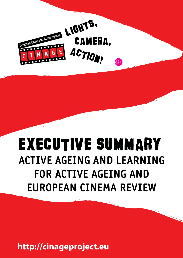

# Executive Summary **ACTIVE AGEING AND LEARNING FOR ACTIVE AGEING AND EUROPEAN CINEMA REVIEW**

**http://cinageproject.eu**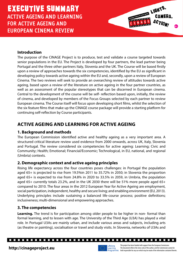#### **Introduction**

The purpose of the CINAGE Project is to produce, test and validate a course targeted towards senior populations in the EU. The Project is developed by four partners, the lead partner being Portugal and the three other partners Italy, Slovenia and the UK. The Course will be based firstly upon a review of approaches towards the six competencies, identified by the EU as significant in developing policy towards active ageing within the EU and, secondly, upon a review of European Cinema. The two reviews will seek to provide an overarching review of attitudes towards active ageing, based upon a review of the literature on active ageing in the four partner countries, as well as an assessment of the popular stereotypes that can be discerned in European cinema. Central to the development of the course will be self- reflection based upon, initially, the review of cinema, and developed by members of the Focus Groups selected by each partner to review European cinema. The Course itself will focus upon developing short films, whilst the selection of the six feature films that make up the CINAGE course package will provide a starting platform for continuing self-reflection by Course participants.

### **ACTIVE AGEING AND LEARNING FOR ACTIVE AGEING**

#### **1. Background and methods**

The European Commission identified active and healthy ageing as a very important area. A structured critical literature review used evidence from 2000 onwards, across UK, Italy, Slovenia and Portugal. The review considered six competencies for active ageing: Learning; Civic and Community; Health; Emotional; Financial/Economic; Technological, in EU, national, and regional (Umbria) contexts.

#### **2. Demographic context and active ageing principles**

<u>......................</u>

Rising life expectancy across the four countries poses challenges: in Portugal the population aged 65+ is projected to rise from 19.5%in 2011 to 35.72% in 2050; in Slovenia the proportion aged 65+ is expected to rise from 24.8% in 2020 to 33.5% in 2059, in Umbria, the population aged 65+ currently totals 23.2%, and in the UK 2030 there will be 51% more people aged 65+ compared to 2010. The four areas in the 2012 European Year for Active Ageing are employment, social participation, independent, healthy and secure living; and enabling environment (EU, 2013). Underlying principles include sustaining a balanced life-course process; positive definitions; inclusiveness; multi-dimensional and empowering approaches.

#### **3. The competencies**

Learning. The trend is for participation among older people to be higher in non-formal than formal learning, and to lessen with age. The University of the Third Age (U3A) has played a vital role. In Portugal U3As are mainly urban, and include various areas and subjects, including arts (as theatre or painting), socialisation or travel and study visits. In Slovenia, networks of U3As and

# http://cinageproject.eu<sup>17</sup>



This project has been funded with support from the European Commission. Learning The document reflects the views only of the author, and the Commission cannot be<br>Programme held responsible for any use which may be made of the information contained therein.

п

. . . . . . . . . . . . . . .

Action! **65+**

**MOREMAN CAMERICATS.**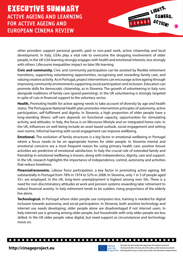

other providers support personal growth, paid or non-paid work, active citizenship and local development. In Italy, U3As play a vital role to overcome the dropping involvement of older people, in the UK U3A learning strongly engages with health and emotional interests, less strongly with others. Lifecourse inequalities impact on later life learning.

**Civic and community.** Civic and community participation can be assisted by flexible retirement transitions, supporting volunteering opportunities, recognising and rewarding family care, and valuing creative activity. As in Portugal, project interventions can encourage active ageing through improving community environments supporting social participation and inclusion. Education can promote skills for democratic citizenship, as in Slovenia. The growth of volunteering in Italy runs alongside traditions of family care (grand-parenting). In the UK volunteering is strongly targeted in spite of cuts in financial support to the voluntary sector.

**Health.** Promoting health for active ageing needs to take account of diversity by age and health status. The Portuguese National Health plan promotes intervention principles of autonomy, active participation, self-fulfilment and dignity. In Slovenia, a high proportion of older people have a long-standing illness: self-care depends on functional capacity, opportunities for stimulating activity, and attitudes. In Italy, the focus is on lifecourse lifestyle and on integrated home care. In the UK, influences on well-being include an asset based outlook, social engagement and setting own norms. Informal learning with social engagement can improve wellbeing.

**Emotional.** The evolution of family structures is a big factor in emotional wellbeing in Portugal where a focus needs to be on appropriate homes for older people. In Slovenia mental and emotional concerns are a most frequent reason for using primary health care: positive leisure activities are predictive of emotional satisfaction. In Italy the crucial role of extended family and friendship in emotional wellbeing is known, along with independence, dignity, care and support. In the UK, research highlights the importance of independence, control, autonomy and activities that reduce loneliness.

**Financial/economic.** Labour force participation, a key factor in promoting active ageing, fell substantially in Portugal from 78% in 1974 to 52% in 2008. In Slovenia, only 1 in 3 of people aged 55+ are employed. In the UK, long-term unemployment is highest among over 50s. There is a need for non-discriminatory attitudes at work and pension systems rewarding later retirement to reduce financial anxiety. In Italy retirement tends to be sudden; rising proportions of the elderly live alone.

**Technological.** In Portugal where older people use computers less, training is needed for digital inclusion towards autonomy, and social participation. In Slovenia, both assistive technology and internet use needs developing: older people alone are disadvantaged if not internet users. In Italy internet use is growing among older people, but households with only older people are less skilled. In the UK older people value digital, but need support as circumstances and technology move on.

# http://cinageproject.eu<sup>17</sup>

....................



П

 $\Box$ 

Г п

> This project has been funded with support from the European Commission. Learning The document reflects the views only of the author, and the Commission cannot be<br>Programme held responsible for any use which may be made of the information contained therein.

П П П П

**. . . .**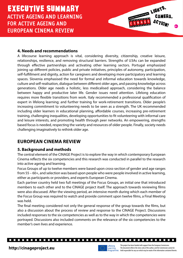#### **4. Needs and recommendations**

A lifecourse learning approach is vital, considering diversity, citizenship, creative leisure, relationships, resilience, and removing structural barriers. Strengths of U3As can be expanded through effective partnerships and activating other learning sectors. Portugal emphasized joining up different policies, public and private initiatives, principles of autonomy, participation, self-fulfillment and dignity, action for caregivers and developing more participatory and learning spaces. Slovenia emphasised the need for formal and informal education towards knowledge, culture and self-realisation, dialogue between different older ages, and passing knowledge across generations. Older age needs a holistic, less medicalised approach, considering the balance between happy and productive later life. Gender issues need attention. Lifelong education requires more flexible transitions from work. Italy recommended a professional qualification of expert in lifelong learning; and further training for work-retirement transitions. Older people's increasing commitment to volunteering needs to be seen as a strength. The UK recommended including older learners in educational planning, affordable courses, increasing pre-retirement training, challenging inequalities, developing opportunities to fit volunteering with informal care and leisure interests, and promoting health through peer networks. An empowering, strengths based focus is needed, respecting the variety and resources of older people. Finally, society needs challenging imaginatively to rethink older age.

## **EUROPEAN CINEMA REVIEW**

#### **5. Background and methods**

The central element of the CINAGE Project is to explore the way in which contemporary European Cinema reflects the six competencies and this research was conducted in parallel to the research into active ageing and learning.

Focus Groups of up to twelve members were based upon cross-section of gender and age ranges from 55 – 60+, and selection was based upon people who were people involved in active learning, either as participants or providers, and experts European Cinema.

Each partner country held two full meetings of the Focus Groups, an initial one that introduced members to each other and to the CINAGE project itself. The approach towards reviewing films were also discussed. After the viewing period, an intensive month during which each member of the Focus Group was required to watch and provide comment upon twelve films, a Final Meeting was held.

The final meeting considered not only the general response of the group towards the films, but also a discussion about the process of review and response to the CINAGE Project. Discussions included responses to the six competencies as well as to the way in which the competencies were portrayed. Discussions also included comments on the relevance of the six competencies to the member's own lives and experience.

# 



**. . . . . . .** 

Г п

This project has been funded with support from the European Commission. The document reflects the views only of the author, and the Commission cannot be http://cinageproject.eu<br>Programme held responsible for any use which may be made of the information contained therein.

п П п

. . . . . . .

Action! **65+**

**MOREMAN CAMERICATS.**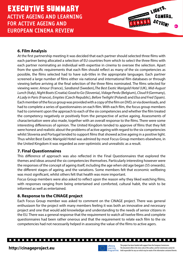#### **6. Film Analysis**

At the first partnership meeting it was decided that each partner should selected three films with each partner being allocated a selection of EU countries from which to select the three films with each partner nominating an individual with expertise in cinema to oversee the selection. Apart from the specific requirements that each film should reflect as many of the six competencies as possible, the films selected had to have sub-titles in the appropriate languages. Each partner screened a large number of films either via national and international film databases or through viewing before arriving at the final selection of the three films nominated. The films selected for viewing were: *Amour* (France), *Saraband* (Sweden),*The Best Exotic Marigold Hotel* (UK), *Mid-August Lunch* (Italy), *Night Boats* (Croatia) *Good to Go* (Slovenia), *Vidage Perdu* (Belgium), *Cloud 9* (Germany), *A Lady in Paris* (France), *Empties* (Czech Republic), *Before Twilight* (Poland) and *Elsa and Fred* (Spain). Each member of the focus group was provided with a copy of the film on DVD, or via downloads, and had to complete a series of questionnaires on each film. With each film, the focus group members had to comment upon the approach to each of the six competencies and whether the film treated the competency negatively or positively from the perspective of active ageing. Assessments of characterisation were also made, together with an overall response to the films. There were some interesting differences of opinion. The United Kingdom tended to approve of films that they felt were honest and realistic about the problems of active ageing with regard to the six competencies whilst Slovenia and Portugal tended to support films that showed active ageing in a positive light. Thus whilst Best Exotic Marigold Hotel was admired by most Focus Group members elsewhere, in the United Kingdom it was regarded as over-optimistic and unrealistic as a result.

#### **7. Final Questionnaires**

This difference of approach was also reflected in the Final Questionnaires that explored the themes and ideas around the six competencies themselves. Particularly interesting however were the responses of the concept of ageing itself, including the age when old age began (55 onwards), the different stages of ageing, and the variations. Some members felt that economic wellbeing was most significant, whilst others felt that health was more important.

Focus Group members were also asked to reflect upon the reason why they liked watching films, with responses ranging from being entertained and comforted, cultural habit, the wish to be informed as well as entertained.

#### **8. Response to the CINAGE project**

Each Focus Group member was asked to comment on the CINAGE project. There was general enthusiasm for the project with many members feeling it was both an innovative and necessary project and one that would add knowledge and understanding to the needs of senior citizens in the EU. There was a general response that the requirement to watch all twelve films and complete questionnaires had been rather onerous and that the requirement to relate each film to the six competencies had not necessarily helped in assessing the value of the films to active agers.

# http://cinageproject.eu<sup>17</sup>



**. . . . . . .** 

Г П



п П

. . . . . . .

Action! **65+**

**MORENT AND ACTION TS.**